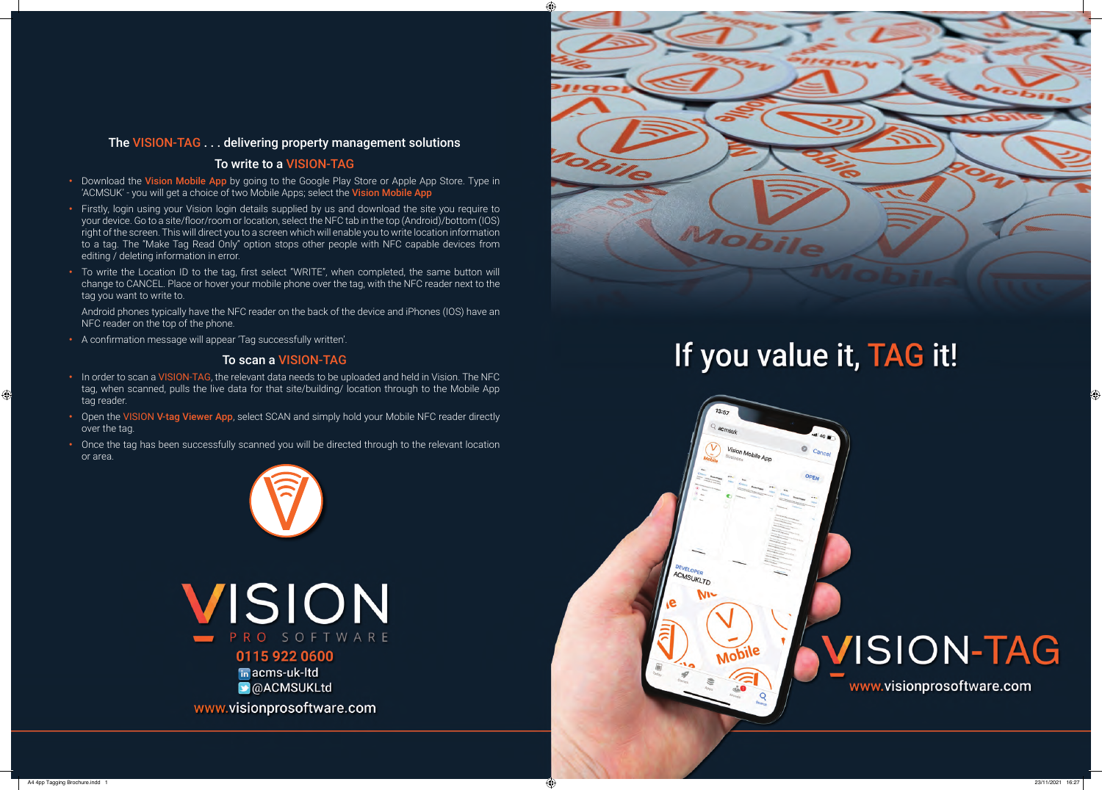#### The VISION-TAG . . . delivering property management solutions

#### To write to a VISION-TAG

- Download the Vision Mobile App by going to the Google Play Store or Apple App Store. Type in 'ACMSUK' - you will get a choice of two Mobile Apps; select the Vision Mobile App
- **•** Firstly, login using your Vision login details supplied by us and download the site you require to your device. Go to a site/floor/room or location, select the NFC tab in the top (Android)/bottom (IOS) right of the screen. This will direct you to a screen which will enable you to write location information to a tag. The "Make Tag Read Only" option stops other people with NFC capable devices from editing / deleting information in error.
- **•** To write the Location ID to the tag, first select "WRITE", when completed, the same button will change to CANCEL. Place or hover your mobile phone over the tag, with the NFC reader next to the tag you want to write to.

 Android phones typically have the NFC reader on the back of the device and iPhones (IOS) have an NFC reader on the top of the phone.

**•** A confirmation message will appear 'Tag successfully written'.

#### To scan a VISION-TAG

- **•** In order to scan a VISION-TAG, the relevant data needs to be uploaded and held in Vision. The NFC tag, when scanned, pulls the live data for that site/building/ location through to the Mobile App tag reader.
- **•** Open the VISION V-tag Viewer App, select SCAN and simply hold your Mobile NFC reader directly over the tag.
- **•** Once the tag has been successfully scanned you will be directed through to the relevant location or area.



VISION PRO SOFTWARE 0115 922 0600 in acms-uk-ltd

OACMSUKLtd

www.visionprosoftware.com



### If you value it, TAG it!



 $\bigoplus$ 

## VISION-TAG

www.visionprosoftware.com